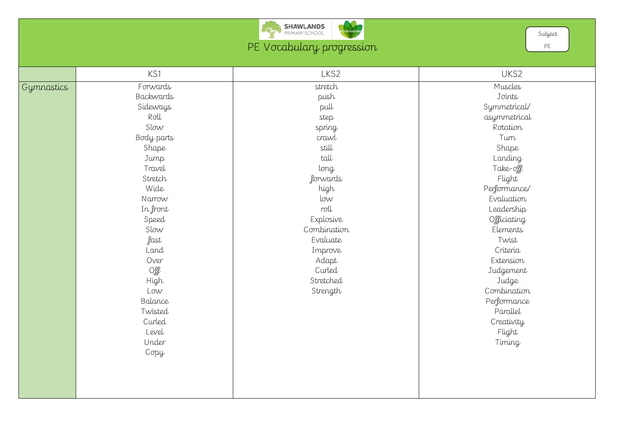

PE Vocabulary progression

|            | KS1               | LKS2         | UKS2       |
|------------|-------------------|--------------|------------|
| Gymnastics | Forwards          | stretch      | Muscles    |
|            | Backwards         | push         | Joints     |
|            | Sideways          | pull         | Symmetric  |
|            | Roll              | step         | asymmetri  |
|            | Slow              | spring       | Rotation   |
|            | Body parts        | crawl        | Turn       |
|            | Shape             | still        | Shape      |
|            | Jump              | tall         | Landing    |
|            | Travel            | long         | Take-off   |
|            | Stretch           | forwards     | Flight     |
|            | Wide              | high         | Performano |
|            | Narrow            | $\text{low}$ | Evaluatio  |
|            | In front          | roll         | Leadershi  |
|            | Speed             | Explosive    | Officiatin |
|            | Slow              | Combination  | Elements   |
|            | fast              | Evaluate     | Twist      |
|            | Land              | Improve      | Criteria   |
|            | Over              | Adapt        | Extension  |
|            | $O_{\mathscr{F}}$ | Curled       | Judgemer   |
|            | High              | Stretched    | Judge      |
|            | Low               | Strength     | Combinati  |
|            | Balance           |              | Performan  |
|            | Twisted           |              | Parallel   |
|            | Curled            |              | Creativity |
|            | Level             |              | Flight     |
|            | Under             |              | Timing     |
|            | Copy              |              |            |
|            |                   |              |            |
|            |                   |              |            |
|            |                   |              |            |
|            |                   |              |            |

Muscles Joints Symmetrical/ asymmetrical Rotation Turn Shape Landing Take-off Flight Performance/ Evaluation Leadership Officiating Elements Twist Criteria Extension Judgement Judge Combination Performance Parallel Creativity Flight Timing

Subject

PE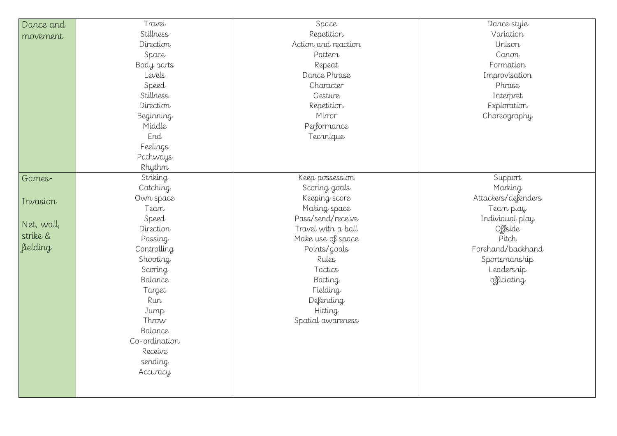Dance style Variation Unison Canon Formation Improvisation Phrase Interpret Exploration Choreography

| Dance and       | Travel           | Space               |  |
|-----------------|------------------|---------------------|--|
| movement        | Stillness        | Repetition          |  |
|                 | Direction        | Action and reaction |  |
|                 | Space            | Pattern             |  |
|                 | Body parts       | Repeat              |  |
|                 | _evels           | Dance Phrase        |  |
|                 | Speed            | Character           |  |
|                 | Stillness        | Gesture             |  |
|                 | Direction        | Repetition          |  |
|                 | <b>Beginning</b> | Mirror              |  |
|                 | Middle           | Performance         |  |
|                 | End              | Technique           |  |
|                 | Feelings         |                     |  |
|                 | Pathways         |                     |  |
|                 | Rhythm           |                     |  |
| Games-          | Striking         | Keep possession     |  |
|                 | Catching         | Scoring goals       |  |
| Invasion        | Own space        | Keeping score       |  |
|                 | Team             | Making space        |  |
| Net, wall,      | Speed            | Pass/send/receive   |  |
|                 | Direction        | Travel with a ball  |  |
| strike &        | Passing          | Make use of space   |  |
| <i>fielding</i> | Controlling      | Points/goals        |  |
|                 | Shooting         | Rules               |  |
|                 | Scoring          | Tactics             |  |
|                 | Balance          | Batting             |  |
|                 | Target           | Fielding            |  |
|                 | Run              | Defending           |  |
|                 | Jump             | <b>Hitting</b>      |  |
|                 | Throw            | Spatial awareness   |  |
|                 | Balance          |                     |  |
|                 | Co-ordination    |                     |  |
|                 | Receive          |                     |  |
|                 | sending          |                     |  |
|                 | Accuracy         |                     |  |
|                 |                  |                     |  |
|                 |                  |                     |  |

Support Marking Attackers/defenders Team play Individual play Offside Pitch Forehand/backhand Sportsmanship Leadership officiating